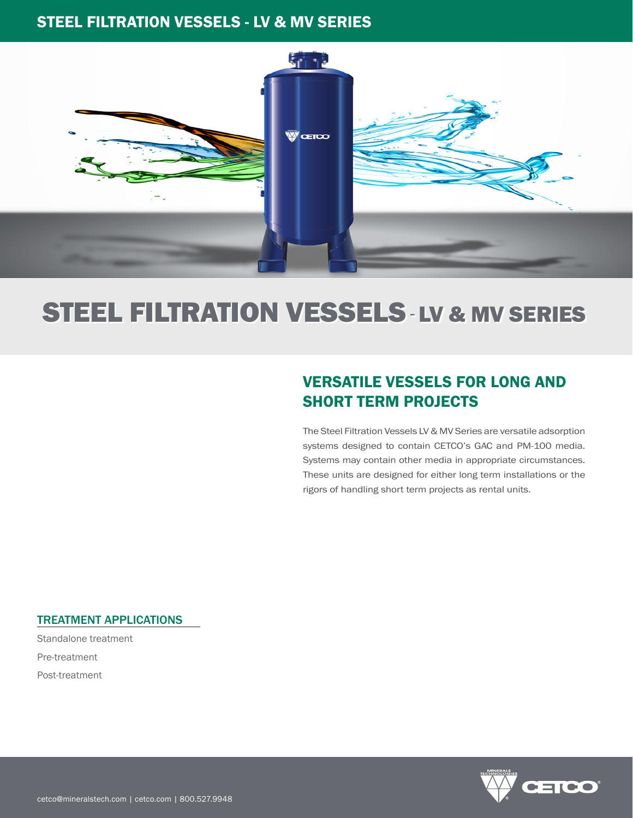## STEEL FILTRATION VESSELS - LV & MV SERIES



# STEEL FILTRATION VESSELS-LV & MV SERIES

# VERSATILE VESSELS FOR LONG AND SHORT TERM PROJECTS

The Steel Filtration Vessels LV & MV Series are versatile adsorption systems designed to contain CETCO's GAC and PM-100 media. Systems may contain other media in appropriate circumstances. These units are designed for either long term installations or the rigors of handling short term projects as rental units.

### TREATMENT APPLICATIONS

Standalone treatment Pre-treatment Post-treatment